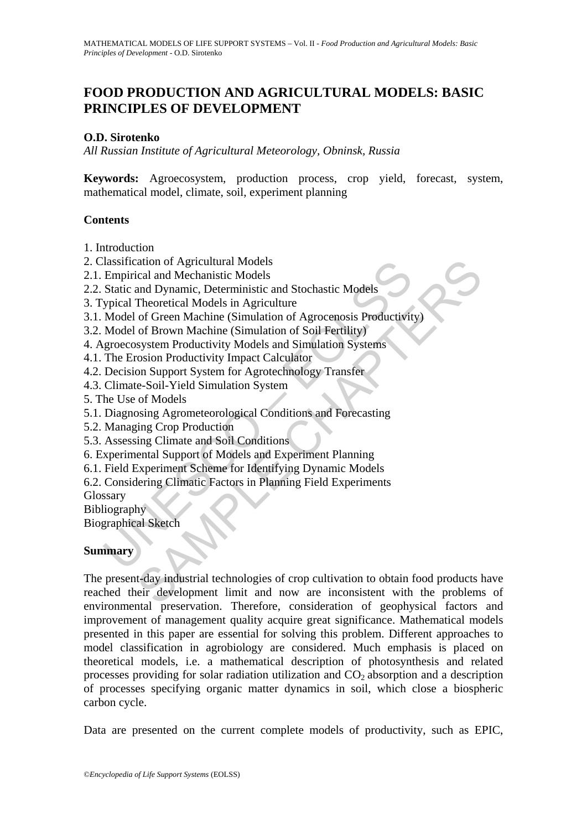# **FOOD PRODUCTION AND AGRICULTURAL MODELS: BASIC PRINCIPLES OF DEVELOPMENT**

#### **O.D. Sirotenko**

*All Russian Institute of Agricultural Meteorology, Obninsk, Russia*

**Keywords:** Agroecosystem, production process, crop yield, forecast, system, mathematical model, climate, soil, experiment planning

#### **Contents**

- 1. Introduction
- 2. Classification of Agricultural Models
- 2.1. Empirical and Mechanistic Models
- 2.2. Static and Dynamic, Deterministic and Stochastic Models
- 3. Typical Theoretical Models in Agriculture
- Iassitration of Agricultural Models<br>
Empirical and Mechanistic Models<br>
Empirical and Mechanistic Models<br>
Stratic and Dynamic, Deterministic and Stochastic Models<br>
Spical Theoretical Models in Agriculture<br>
Model of Green Ma 3.1. Model of Green Machine (Simulation of Agrocenosis Productivity)
- 3.2. Model of Brown Maсhine (Simulation of Soil Fertility)
- 4. Agroecosystem Productivity Models and Simulation Systems
- 4.1. The Erosion Productivity Impact Calculator
- 4.2. Decision Support System for Agrotechnology Transfer
- 4.3. Climate-Soil-Yield Simulation System
- 5. The Use of Models
- 5.1. Diagnosing Agrometeorological Conditions and Forecasting
- 5.2. Managing Crop Production
- 5.3. Assessing Climate and Soil Conditions
- 6. Experimental Support of Models and Experiment Planning
- 6.1. Field Experiment Scheme for Identifying Dynamic Models
- 6.2. Considering Climatic Factors in Planning Field Experiments

Glossary

Bibliography

Biographical Sketch

### **Summary**

iation of Agricultural Models<br>
ical and Mechanistic Models<br>
ical and Dynamic, Deterministic and Stochastic Models<br>
Theoretical Models in Agriculture<br>
of Green Machine (Simulation of Agrocenosis Productivity)<br>
of Brown Mach The present-day industrial technologies of crop cultivation to obtain food products have reached their development limit and now are inconsistent with the problems of environmental preservation. Therefore, consideration of geophysical factors and improvement of management quality acquire great significance. Mathematical models presented in this paper are essential for solving this problem. Different approaches to model classification in agrobiology are considered. Much emphasis is placed on theoretical models, i.e. a mathematical description of photosynthesis and related processes providing for solar radiation utilization and  $CO<sub>2</sub>$  absorption and a description of processes specifying organic matter dynamics in soil, which close a biospheric carbon cycle.

Data are presented on the current complete models of productivity, such as EPIC,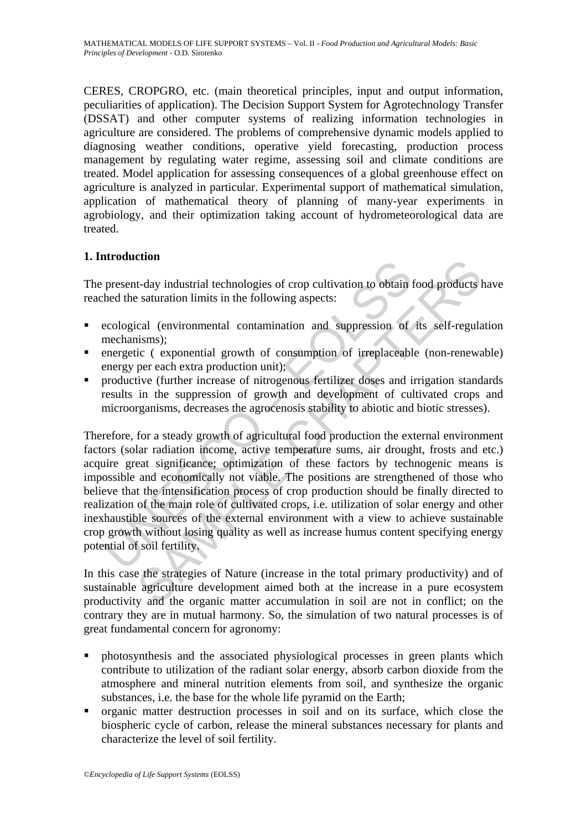CERES, CROPGRO, etc. (main theoretical principles, input and output information, peculiarities of application). The Decision Support System for Agrotechnology Transfer (DSSAT) and other computer systems of realizing information technologies in agriculture are considered. The problems of comprehensive dynamic models applied to diagnosing weather conditions, operative yield forecasting, production process management by regulating water regime, assessing soil and climate conditions are treated. Model application for assessing consequences of a global greenhouse effect on agriculture is analyzed in particular. Experimental support of mathematical simulation, application of mathematical theory of planning of many-year experiments in agrobiology, and their optimization taking account of hydrometeorological data are treated.

## **1. Introduction**

The present-day industrial technologies of crop cultivation to obtain food products have reached the saturation limits in the following aspects:

- ecological (environmental contamination and suppression of its self-regulation mechanisms);
- energetic ( exponential growth of consumption of irreplaceable (non-renewable) energy per each extra production unit);
- productive (further increase of nitrogenous fertilizer doses and irrigation standards results in the suppression of growth and development of cultivated crops and microorganisms, decreases the agrocenosis stability to abiotic and biotic stresses).

present-day industrial technologies of crop cultivation to obtain<br>thed the saturation limits in the following aspects:<br>ecological (environmental contamination and suppression of<br>mechanisms);<br>enceptive (exponential growth o **COMPRETED:**<br>
In the following aspects:<br>
Caly industrial technologies of crop cultivation to obtain food products is saturation limits in the following aspects:<br>
Cal (environmental contamination and suppression of its self Therefore, for a steady growth of agricultural food production the external environment factors (solar radiation income, active temperature sums, air drought, frosts and etc.) acquire great significance; optimization of these factors by technogenic means is impossible and economically not viable. The positions are strengthened of those who believe that the intensification process of crop production should be finally directed to realization of the main role of cultivated crops, i.e. utilization of solar energy and other inexhaustible sources of the external environment with a view to achieve sustainable crop growth without losing quality as well as increase humus content specifying energy potential of soil fertility.

In this case the strategies of Nature (increase in the total primary productivity) and of sustainable agriculture development aimed both at the increase in a pure ecosystem productivity and the organic matter accumulation in soil are not in conflict; on the contrary they are in mutual harmony. So, the simulation of two natural processes is of great fundamental concern for agronomy:

- photosynthesis and the associated physiological processes in green plants which contribute to utilization of the radiant solar energy, absorb carbon dioxide from the atmosphere and mineral nutrition elements from soil, and synthesize the organic substances, i.e. the base for the whole life pyramid on the Earth;
- organic matter destruction processes in soil and on its surface, which close the biospheric cycle of carbon, release the mineral substances necessary for plants and characterize the level of soil fertility.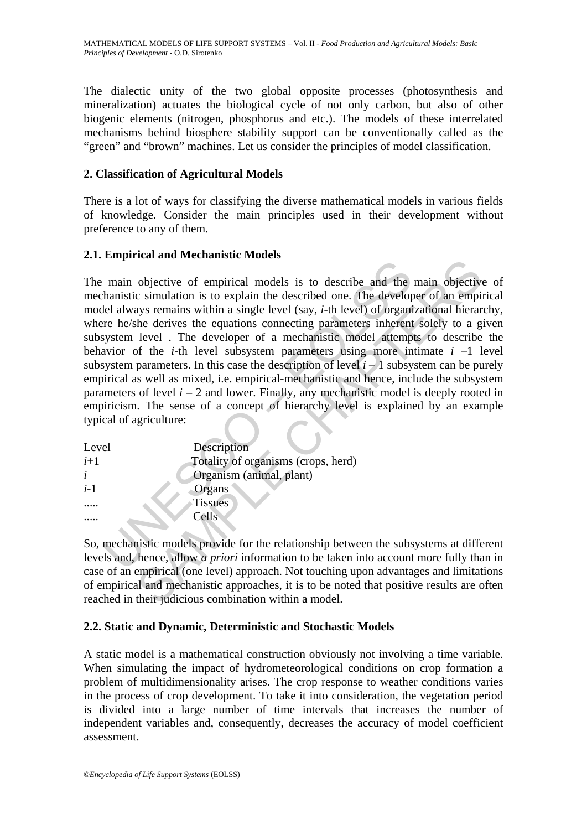The dialectic unity of the two global opposite processes (photosynthesis and mineralization) actuates the biological cycle of not only carbon, but also of other biogenic elements (nitrogen, phosphorus and etc.). The models of these interrelated mechanisms behind biosphere stability support can be conventionally called as the "green" and "brown" machines. Let us consider the principles of model classification.

#### **2. Classification of Agricultural Models**

There is a lot of ways for classifying the diverse mathematical models in various fields of knowledge. Consider the main principles used in their development without preference to any of them.

#### **2.1. Empirical and Mechanistic Models**

main objective of empirical models is to describe and the<br>hamistic simulation is to explain the described one. The develop-<br>lel always remains within a single level (say, *i*-th level) of organi<br>re he/sh derives the equat can anti-meterial models is to describe and the main objective<br>objective of empirical models is to describe and the main objective<br>objective of empirical models is to described one. The developer of an empiry<br>systemains w The main objective of empirical models is to describe and the main objective of mechanistic simulation is to explain the described one. The developer of an empirical model always remains within a single level (say, *i*-th level) of organizational hierarchy, where he/she derives the equations connecting parameters inherent solely to a given subsystem level . The developer of a mechanistic model attempts to describe the behavior of the *i*-th level subsystem parameters using more intimate *i* –1 level subsystem parameters. In this case the description of level  $i - 1$  subsystem can be purely empirical as well as mixed, i.e. empirical-mechanistic and hence, include the subsystem parameters of level  $i - 2$  and lower. Finally, any mechanistic model is deeply rooted in empiricism. The sense of a concept of hierarchy level is explained by an example typical of agriculture:

| Level | Description                         |  |  |  |  |
|-------|-------------------------------------|--|--|--|--|
| $i+1$ | Totality of organisms (crops, herd) |  |  |  |  |
| i     | Organism (animal, plant)            |  |  |  |  |
| $i-1$ | Organs                              |  |  |  |  |
|       | <b>Tissues</b>                      |  |  |  |  |
|       | Cells                               |  |  |  |  |

So, mechanistic models provide for the relationship between the subsystems at different levels and, hence, allow *a priori* information to be taken into account more fully than in case of an empirical (one level) approach. Not touching upon advantages and limitations of empirical and mechanistic approaches, it is to be noted that positive results are often reached in their judicious combination within a model.

### **2.2. Static and Dynamic, Deterministic and Stochastic Models**

A static model is a mathematical construction obviously not involving a time variable. When simulating the impact of hydrometeorological conditions on crop formation a problem of multidimensionality arises. The crop response to weather conditions varies in the process of crop development. To take it into consideration, the vegetation period is divided into a large number of time intervals that increases the number of independent variables and, consequently, decreases the accuracy of model coefficient assessment.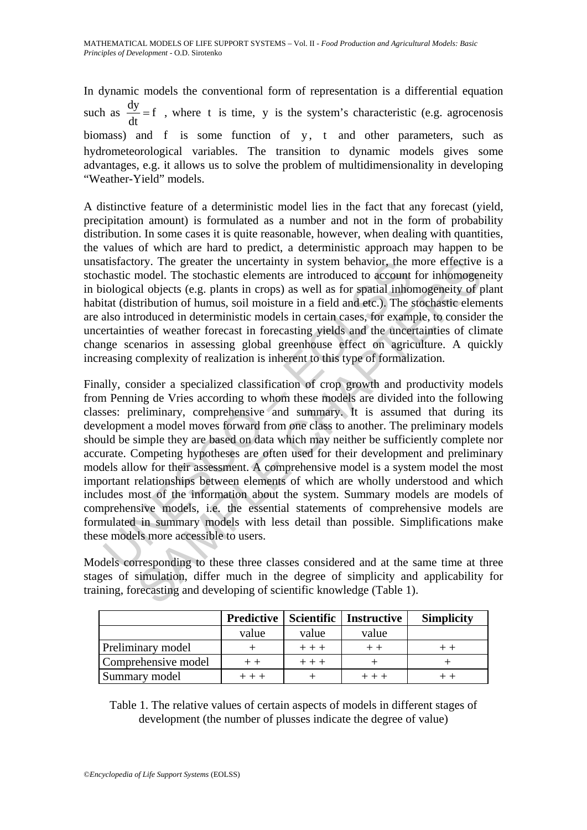In dynamic models the conventional form of representation is a differential equation such as  $\frac{dy}{dt} = f$ , where t is time, y is the system's characteristic (e.g. agrocenosis biomass) and f is some function of y, t and other parameters, such as hydrometeorological variables. The transition to dynamic models gives some advantages, e.g. it allows us to solve the problem of multidimensionality in developing "Weather-Yield" models.

A distinctive feature of a deterministic model lies in the fact that any forecast (yield, precipitation amount) is formulated as a number and not in the form of probability distribution. In some cases it is quite reasonable, however, when dealing with quantities, the values of which are hard to predict, a deterministic approach may happen to be unsatisfactory. The greater the uncertainty in system behavior, the more effective is a stochastic model. The stochastic elements are introduced to account for inhomogeneity in biological objects (e.g. plants in crops) as well as for spatial inhomogeneity of plant habitat (distribution of humus, soil moisture in a field and etc.). The stochastic elements are also introduced in deterministic models in certain cases, for example, to consider the uncertainties of weather forecast in forecasting yields and the uncertainties of climate change scenarios in assessing global greenhouse effect on agriculture. A quickly increasing complexity of realization is inherent to this type of formalization.

thistactory. The greater the uncertainty in system behavior, the hastic model. The stochastic elements are introduced to account iological objects (e.g. plants in crops) as well as for spatial inhoritated (distribution of ory. The greater the uncertainty in system behavior, the more effective model. The stochastic elements are introduced to account for inhomoger and objects (e.g. plants in crops) as well as for spatial inhomogeneity of prio Finally, consider a specialized classification of crop growth and productivity models from Penning de Vries according to whom these models are divided into the following classes: preliminary, comprehensive and summary. It is assumed that during its development a model moves forward from one class to another. The preliminary models should be simple they are based on data which may neither be sufficiently complete nor accurate. Competing hypotheses are often used for their development and preliminary models allow for their assessment. A comprehensive model is a system model the most important relationships between elements of which are wholly understood and which includes most of the information about the system. Summary models are models of comprehensive models, i.e. the essential statements of comprehensive models are formulated in summary models with less detail than possible. Simplifications make these models more accessible to users.

Models corresponding to these three classes considered and at the same time at three stages of simulation, differ much in the degree of simplicity and applicability for training, forecasting and developing of scientific knowledge (Table 1).

|                     | <b>Predictive</b> | Scientific | <b>Instructive</b> | <b>Simplicity</b> |
|---------------------|-------------------|------------|--------------------|-------------------|
|                     | value             | value      | value              |                   |
| Preliminary model   |                   | $+++$      |                    |                   |
| Comprehensive model |                   | $+++$      |                    |                   |
| Summary model       |                   |            |                    |                   |

Table 1. The relative values of certain aspects of models in different stages of development (the number of plusses indicate the degree of value)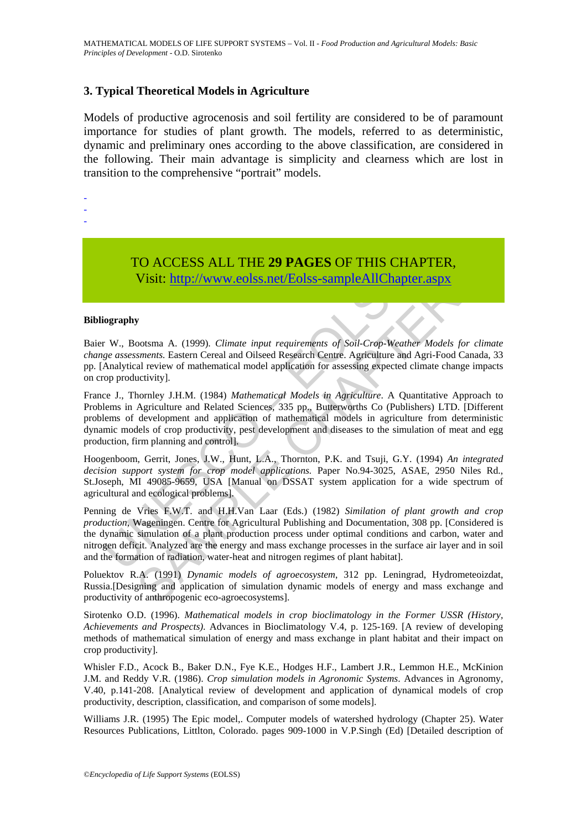#### **3. Typical Theoretical Models in Agriculture**

Models of productive agrocenosis and soil fertility are considered to be of paramount importance for studies of plant growth. The models, referred to as deterministic, dynamic and preliminary ones according to the above classification, are considered in the following. Their main advantage is simplicity and clearness which are lost in transition to the comprehensive "portrait" models.

-

-

-

TO ACCESS ALL THE **29 PAGES** OF THIS CHAPTER, Visit: http://www.eolss.net/Eolss-sampleAllChapter.aspx

#### **Bibliography**

Baier W., Bootsma A. (1999). *Climate input requirements of Soil-Crop-Weather Models for climate change assessments.* Eastern Cereal and Oilseed Research Centre. Agriculture and Agri-Food Canada, 33 pp. [Analytical review of mathematical model application for assessing expected climate change impacts on crop productivity].

TO ACCESS ALL THE 29 PAGES OF THIS CHA<br>Visit: http://www.colss.net/Eolss-sampleAllChapte<br>ography<br>fography<br>r W., Bootsma A. (1999). *Climate input requirements of Soil-Crop-Weath-<br>ge assessments*. Eastern Cereal and Oilseed SAMPLE CHAPTE[RS](https://www.eolss.net/ebooklib/sc_cart.aspx?File=E6-03A-05-01) France J., Thornley J.H.M. (1984) *Mathematical Models in Agriculture*. A Quantitative Approach to Problems in Agriculture and Related Sciences, 335 pp., Butterworths Co (Publishers) LTD. [Different problems of development and application of mathematical models in agriculture from deterministic dynamic models of crop productivity, pest development and diseases to the simulation of meat and egg production, firm planning and control].

Hoogenboom, Gerrit, Jones, J.W., Hunt, L.A., Thornton, P.K. and Tsuji, G.Y. (1994) *An integrated decision support system for crop model applications.* Paper No.94-3025, ASAE, 2950 Niles Rd., St.Joseph, MI 49085-9659, USA [Manual on DSSAT system application for a wide spectrum of agricultural and ecological problems].

Penning de Vries F.W.T. and H.H.Van Laar (Eds.) (1982) *Similation of plant growth and crop production*, Wageningen. Centre for Agricultural Publishing and Documentation, 308 pp. [Considered is the dynamic simulation of a plant production process under optimal conditions and carbon, water and nitrogen deficit. Analyzed are the energy and mass exchange processes in the surface air layer and in soil and the formation of radiation, water-heat and nitrogen regimes of plant habitat].

Poluektov R.A. (1991) *Dynamic models of agroecosystem*, 312 pp. Leningrad, Hydrometeoizdat, Russia.[Designing and application of simulation dynamic models of energy and mass exchange and productivity of anthropogenic eco-agroecosystems].

Sirotenko O.D. (1996). *Mathematical models in crop bioclimatology in the Former USSR (History, Achievements and Prospects)*. Advances in Bioclimatology V.4, p. 125-169. [A review of developing methods of mathematical simulation of energy and mass exchange in plant habitat and their impact on crop productivity].

Whisler F.D., Acock B., Baker D.N., Fye K.E., Hodges H.F., Lambert J.R., Lemmon H.E., McKinion J.M. and Reddy V.R. (1986). *Crop simulation models in Agronomic Systems*. Advances in Agronomy, V.40, p.141-208. [Analytical review of development and application of dynamical models of crop productivity, description, classification, and comparison of some models].

Williams J.R. (1995) The Epic model,. Computer models of watershed hydrology (Chapter 25). Water Resources Publications, Littlton, Colorado. pages 909-1000 in V.P.Singh (Ed) [Detailed description of